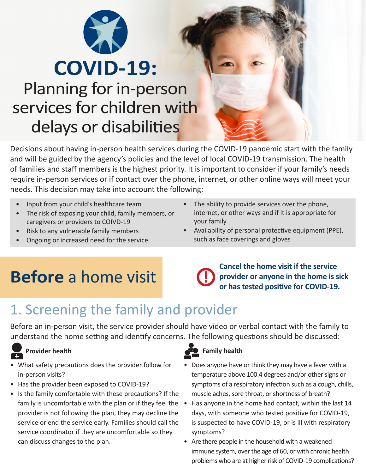

# **COVID-19:** Planning for in-person services for children with delays or disabilities

Decisions about having in-person health services during the COVID-19 pandemic start with the family and will be guided by the agency's policies and the level of local COVID-19 transmission. The health of families and staff members is the highest priority. It is important to consider if your family's needs require in-person services or if contact over the phone, internet, or other online ways will meet your needs. This decision may take into account the following:

- Input from your child's healthcare team
- The risk of exposing your child, family members, or caregivers or providers to COIVD-19
- Risk to any vulnerable family members
- Ongoing or increased need for the service
- The ability to provide services over the phone, internet, or other ways and if it is appropriate for your family
- Availability of personal protective equipment (PPE), such as face coverings and gloves

# **Before** a home visit

**Cancel the home visit if the service provider or anyone in the home is sick or has tested positive for COVID-19. !**

# 1. Screening the family and provider

Before an in-person visit, the service provider should have video or verbal contact with the family to understand the home setting and identify concerns. The following questions should be discussed:

- What safety precautions does the provider follow for in-person visits?
- Has the provider been exposed to COVID-19?
- Is the family comfortable with these precautions? If the family is uncomfortable with the plan or if they feel the • provider is not following the plan, they may decline the service or end the service early. Families should call the service coordinator if they are uncomfortable so they can discuss changes to the plan.

#### **Provider health Family health Family health**

- Does anyone have or think they may have a fever with a temperature above 100.4 degrees and/or other signs or symptoms of a respiratory infection such as a cough, chills, muscle aches, sore throat, or shortness of breath?
- Has anyone in the home had contact, within the last 14 days, with someone who tested positive for COVID-19, is suspected to have COVID-19, or is ill with respiratory symptoms?
- Are there people in the household with a weakened immune system, over the age of 60, or with chronic health problems who are at higher risk of COVID-19 complications?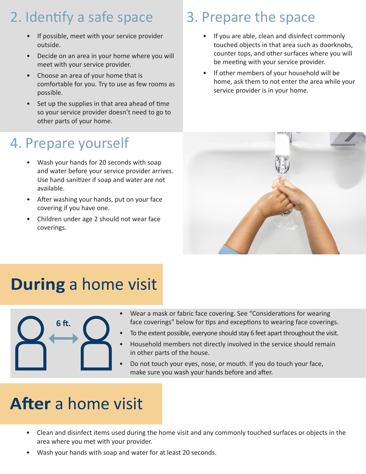# 2. Identify a safe space

- If possible, meet with your service provider outside.
- Decide on an area in your home where you will meet with your service provider.
- Choose an area of your home that is comfortable for you. Try to use as few rooms as possible.
- Set up the supplies in that area ahead of time so your service provider doesn't need to go to other parts of your home.

## 4. Prepare yourself

- Wash your hands for 20 seconds with soap and water before your service provider arrives. Use hand sanitizer if soap and water are not available.
- After washing your hands, put on your face covering if you have one.
- Children under age 2 should not wear face coverings.

### 3. Prepare the space

- If you are able, clean and disinfect commonly touched objects in that area such as doorknobs, counter tops, and other surfaces where you will be meeting with your service provider.
- If other members of your household will be home, ask them to not enter the area while your service provider is in your home.



# **During** a home visit



- Wear a mask or fabric face covering. See "Considerations for wearing face coverings" below for tips and exceptions to wearing face coverings.
- To the extent possible, everyone should stay 6 feet apart throughout the visit.
- Household members not directly involved in the service should remain in other parts of the house.
- Do not touch your eyes, nose, or mouth. If you do touch your face, make sure you wash your hands before and after.

# **After** a home visit

- Clean and disinfect items used during the home visit and any commonly touched surfaces or objects in the area where you met with your provider.
- Wash your hands with soap and water for at least 20 seconds.